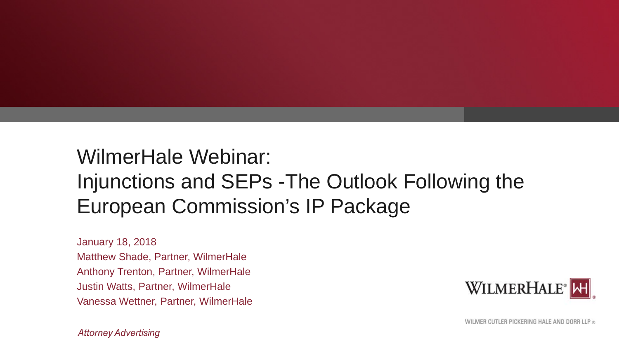#### WilmerHale Webinar: Injunctions and SEPs -The Outlook Following the European Commission's IP Package

January 18, 2018 Matthew Shade, Partner, WilmerHale Anthony Trenton, Partner, WilmerHale Justin Watts, Partner, WilmerHale Vanessa Wettner, Partner, WilmerHale



**Attorney Advertising**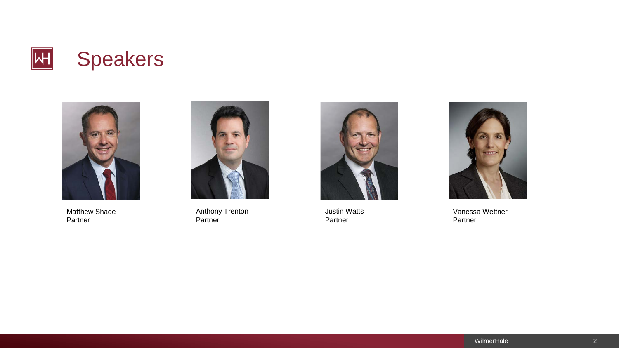



Matthew Shade Partner



Anthony Trenton Partner



Justin Watts Partner



Vanessa Wettner Partner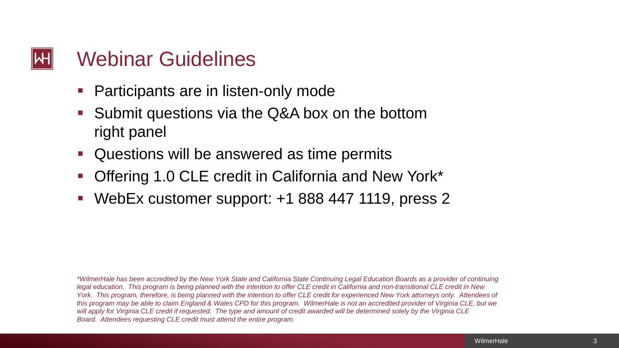#### Webinar Guidelines

- Participants are in listen-only mode
- Submit questions via the Q&A box on the bottom right panel
- Questions will be answered as time permits
- Offering 1.0 CLE credit in California and New York\*
- WebEx customer support: +1 888 447 1119, press 2

*\*WilmerHale has been accredited by the New York State and California State Continuing Legal Education Boards as a provider of continuing legal education. This program is being planned with the intention to offer CLE credit in California and non-transitional CLE credit in New York. This program, therefore, is being planned with the intention to offer CLE credit for experienced New York attorneys only. Attendees of this program may be able to claim England & Wales CPD for this program. WilmerHale is not an accredited provider of Virginia CLE, but we will apply for Virginia CLE credit if requested. The type and amount of credit awarded will be determined solely by the Virginia CLE Board. Attendees requesting CLE credit must attend the entire program.*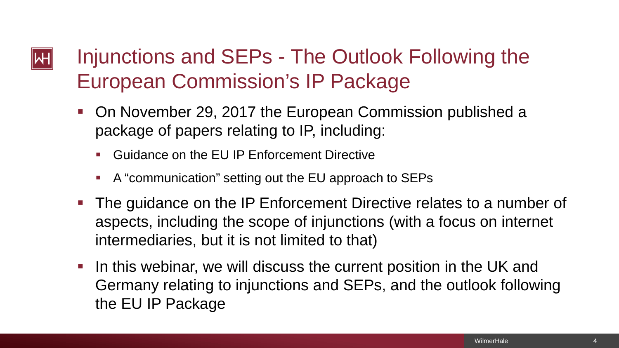## Injunctions and SEPs - The Outlook Following the European Commission's IP Package

- On November 29, 2017 the European Commission published a package of papers relating to IP, including:
	- Guidance on the EU IP Enforcement Directive
	- A "communication" setting out the EU approach to SEPs
- **The guidance on the IP Enforcement Directive relates to a number of** aspects, including the scope of injunctions (with a focus on internet intermediaries, but it is not limited to that)
- I In this webinar, we will discuss the current position in the UK and Germany relating to injunctions and SEPs, and the outlook following the EU IP Package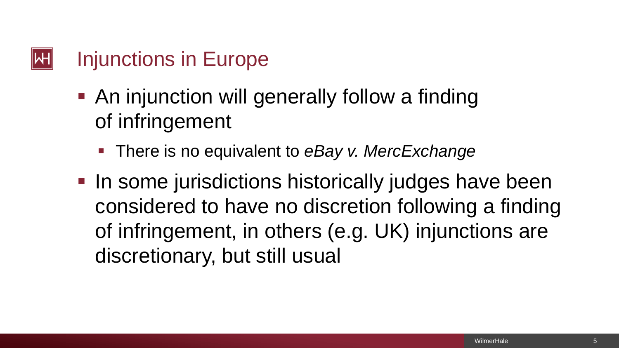## Injunctions in Europe

- **An injunction will generally follow a finding** of infringement
	- **There is no equivalent to eBay v. MercExchange**
- **In some jurisdictions historically judges have been** considered to have no discretion following a finding of infringement, in others (e.g. UK) injunctions are discretionary, but still usual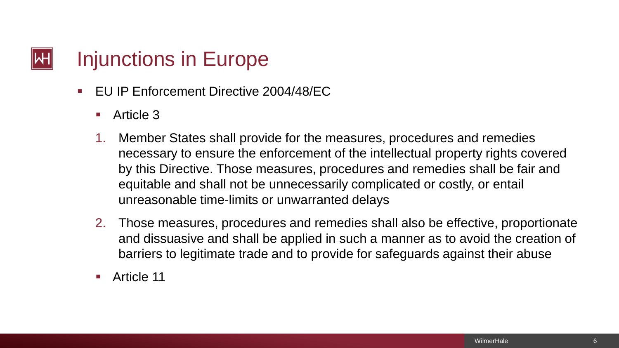## Injunctions in Europe

- **EU IP Enforcement Directive 2004/48/EC** 
	- Article 3
	- 1. Member States shall provide for the measures, procedures and remedies necessary to ensure the enforcement of the intellectual property rights covered by this Directive. Those measures, procedures and remedies shall be fair and equitable and shall not be unnecessarily complicated or costly, or entail unreasonable time-limits or unwarranted delays
	- 2. Those measures, procedures and remedies shall also be effective, proportionate and dissuasive and shall be applied in such a manner as to avoid the creation of barriers to legitimate trade and to provide for safeguards against their abuse
	- Article 11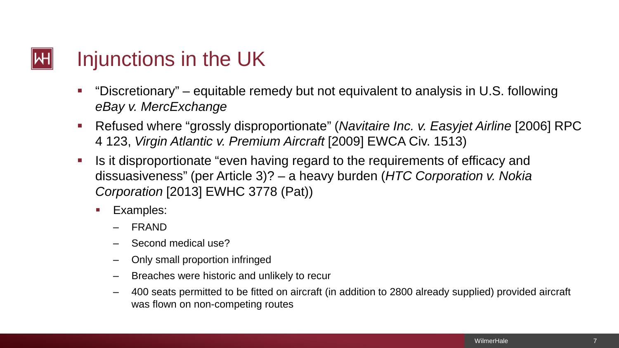

- "Discretionary" equitable remedy but not equivalent to analysis in U.S. following *eBay v. MercExchange*
- Refused where "grossly disproportionate" (*Navitaire Inc. v. Easyjet Airline* [2006] RPC 4 123, *Virgin Atlantic v. Premium Aircraft* [2009] EWCA Civ. 1513)
- Is it disproportionate "even having regard to the requirements of efficacy and dissuasiveness" (per Article 3)? – a heavy burden (*HTC Corporation v. Nokia Corporation* [2013] EWHC 3778 (Pat))
	- **Examples:** 
		- ‒ FRAND
		- ‒ Second medical use?
		- ‒ Only small proportion infringed
		- ‒ Breaches were historic and unlikely to recur
		- ‒ 400 seats permitted to be fitted on aircraft (in addition to 2800 already supplied) provided aircraft was flown on non-competing routes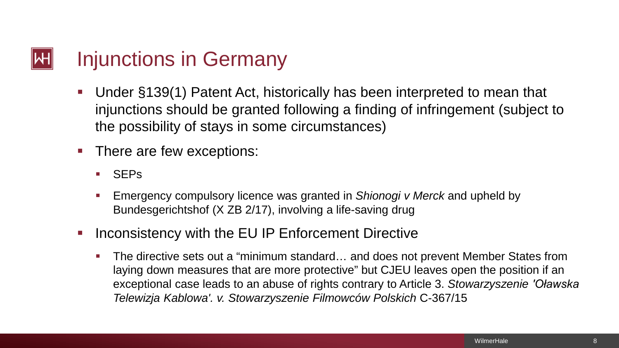#### Injunctions in Germany

- Under §139(1) Patent Act, historically has been interpreted to mean that injunctions should be granted following a finding of infringement (subject to the possibility of stays in some circumstances)
- **There are few exceptions:** 
	- SEPs
	- Emergency compulsory licence was granted in *Shionogi v Merck* and upheld by Bundesgerichtshof (X ZB 2/17), involving a life-saving drug
- **Inconsistency with the EU IP Enforcement Directive** 
	- The directive sets out a "minimum standard... and does not prevent Member States from laying down measures that are more protective" but CJEU leaves open the position if an exceptional case leads to an abuse of rights contrary to Article 3. *Stowarzyszenie 'Oławska Telewizja Kablowa'. v. Stowarzyszenie Filmowców Polskich* C-367/15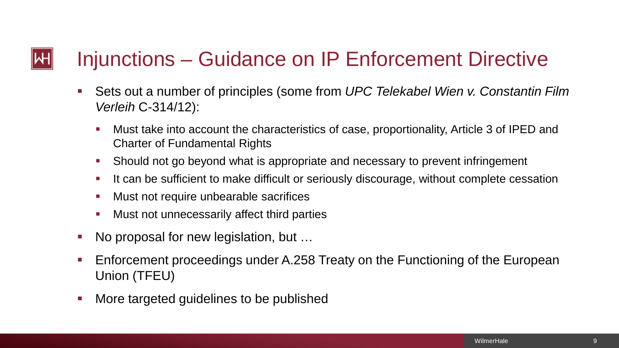### Injunctions – Guidance on IP Enforcement Directive

- Sets out a number of principles (some from *UPC Telekabel Wien v. Constantin Film Verleih* C-314/12):
	- Must take into account the characteristics of case, proportionality, Article 3 of IPED and Charter of Fundamental Rights
	- Should not go beyond what is appropriate and necessary to prevent infringement
	- If can be sufficient to make difficult or seriously discourage, without complete cessation
	- **Must not require unbearable sacrifices**
	- **Must not unnecessarily affect third parties**
- No proposal for new legislation, but …
- **Enforcement proceedings under A.258 Treaty on the Functioning of the European** Union (TFEU)
- More targeted guidelines to be published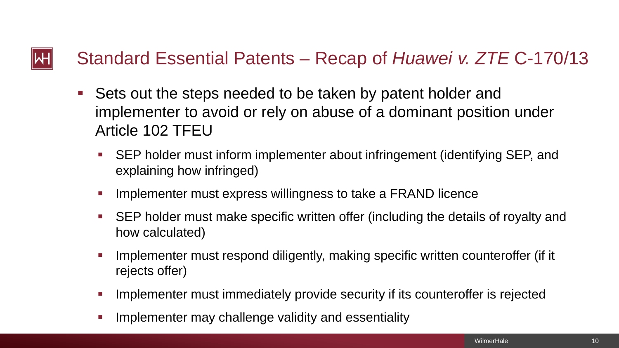#### Standard Essential Patents – Recap of *Huawei v. ZTE* C-170/13 ΝΗ

- Sets out the steps needed to be taken by patent holder and implementer to avoid or rely on abuse of a dominant position under Article 102 TFEU
	- SEP holder must inform implementer about infringement (identifying SEP, and explaining how infringed)
	- Implementer must express willingness to take a FRAND licence
	- SEP holder must make specific written offer (including the details of royalty and how calculated)
	- Implementer must respond diligently, making specific written counteroffer (if it rejects offer)
	- Implementer must immediately provide security if its counteroffer is rejected
	- Implementer may challenge validity and essentiality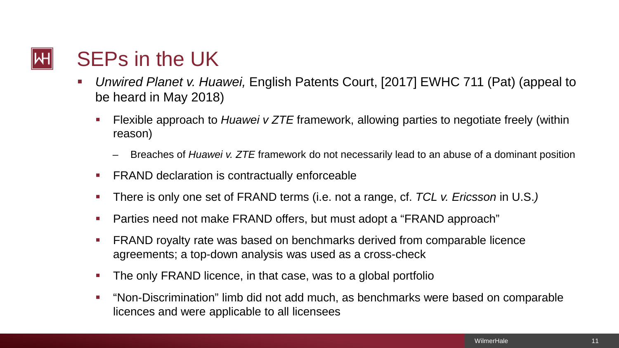## SEPs in the UK

- *Unwired Planet v. Huawei,* English Patents Court, [2017] EWHC 711 (Pat) (appeal to be heard in May 2018)
	- Flexible approach to *Huawei v ZTE* framework, allowing parties to negotiate freely (within reason)
		- Breaches of *Huawei v. ZTE* framework do not necessarily lead to an abuse of a dominant position
	- **FRAND declaration is contractually enforceable**
	- There is only one set of FRAND terms (i.e. not a range, cf. *TCL v. Ericsson* in U.S.*)*
	- Parties need not make FRAND offers, but must adopt a "FRAND approach"
	- **FRAND royalty rate was based on benchmarks derived from comparable licence** agreements; a top-down analysis was used as a cross-check
	- **The only FRAND licence, in that case, was to a global portfolio**
	- "Non-Discrimination" limb did not add much, as benchmarks were based on comparable licences and were applicable to all licensees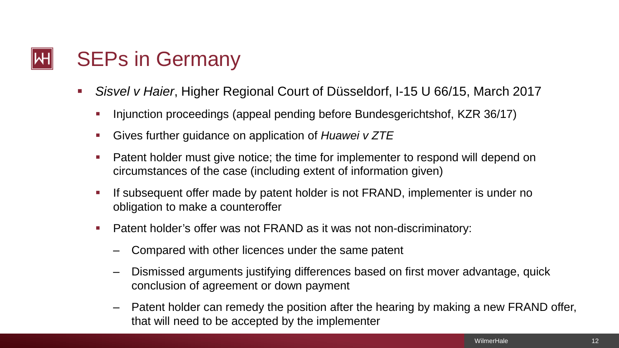

- *Sisvel v Haier*, Higher Regional Court of Düsseldorf, I-15 U 66/15, March 2017
	- Injunction proceedings (appeal pending before Bundesgerichtshof, KZR 36/17)
	- Gives further guidance on application of *Huawei v ZTE*
	- **Patent holder must give notice; the time for implementer to respond will depend on** circumstances of the case (including extent of information given)
	- If subsequent offer made by patent holder is not FRAND, implementer is under no obligation to make a counteroffer
	- **Patent holder's offer was not FRAND as it was not non-discriminatory:** 
		- ‒ Compared with other licences under the same patent
		- ‒ Dismissed arguments justifying differences based on first mover advantage, quick conclusion of agreement or down payment
		- Patent holder can remedy the position after the hearing by making a new FRAND offer, that will need to be accepted by the implementer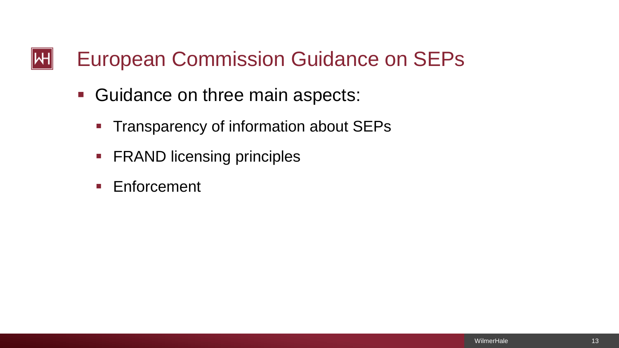### European Commission Guidance on SEPs

- Guidance on three main aspects:
	- **Transparency of information about SEPs**
	- **FRAND licensing principles**
	- **Enforcement**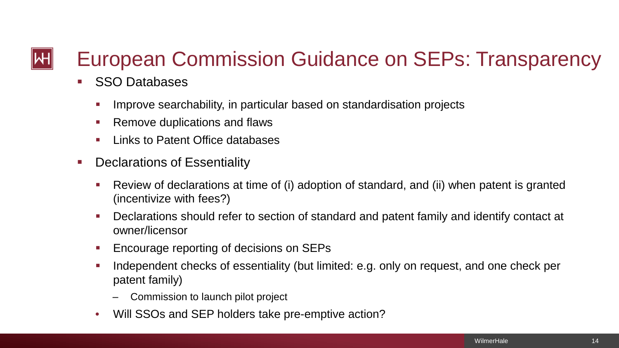## European Commission Guidance on SEPs: Transparency

- **SSO Databases** 
	- Improve searchability, in particular based on standardisation projects
	- **Remove duplications and flaws**
	- **Links to Patent Office databases**
- **Declarations of Essentiality** 
	- Review of declarations at time of (i) adoption of standard, and (ii) when patent is granted (incentivize with fees?)
	- Declarations should refer to section of standard and patent family and identify contact at owner/licensor
	- **Encourage reporting of decisions on SEPs**
	- Independent checks of essentiality (but limited: e.g. only on request, and one check per patent family)
		- ‒ Commission to launch pilot project
	- Will SSOs and SEP holders take pre-emptive action?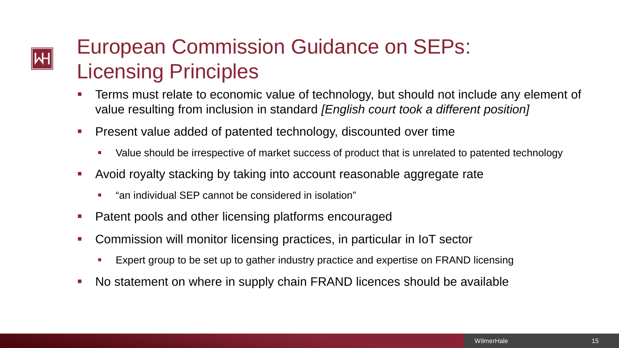# $|\!|\mathsf{H}|\!|$

## European Commission Guidance on SEPs: Licensing Principles

- Terms must relate to economic value of technology, but should not include any element of value resulting from inclusion in standard *[English court took a different position]*
- Present value added of patented technology, discounted over time
	- Value should be irrespective of market success of product that is unrelated to patented technology
- Avoid royalty stacking by taking into account reasonable aggregate rate
	- "an individual SEP cannot be considered in isolation"
- **Patent pools and other licensing platforms encouraged**
- Commission will monitor licensing practices, in particular in IoT sector
	- Expert group to be set up to gather industry practice and expertise on FRAND licensing
- No statement on where in supply chain FRAND licences should be available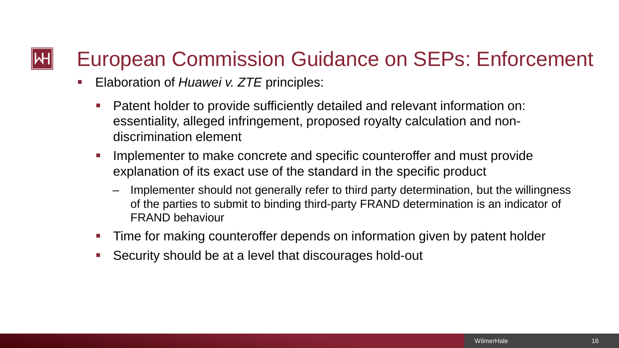## European Commission Guidance on SEPs: Enforcement

- **Elaboration of** *Huawei v. ZTE* principles:
	- Patent holder to provide sufficiently detailed and relevant information on: essentiality, alleged infringement, proposed royalty calculation and nondiscrimination element
	- **IMPLEMENTER 10 META CONCLETE AND SPECIFIC COUNTERPTION IN A FIGURE 10 MILE 10 MILE 10 MILE 10 MILE 10 MILE 10** explanation of its exact use of the standard in the specific product
		- Implementer should not generally refer to third party determination, but the willingness of the parties to submit to binding third-party FRAND determination is an indicator of FRAND behaviour
	- Time for making counteroffer depends on information given by patent holder
	- Security should be at a level that discourages hold-out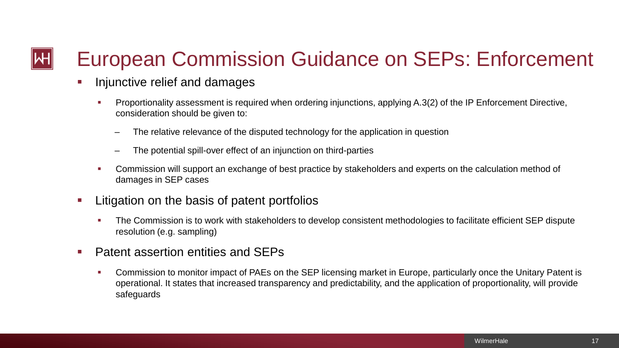## European Commission Guidance on SEPs: Enforcement

- **Injunctive relief and damages** 
	- Proportionality assessment is required when ordering injunctions, applying A.3(2) of the IP Enforcement Directive, consideration should be given to:
		- The relative relevance of the disputed technology for the application in question
		- The potential spill-over effect of an injunction on third-parties
	- Commission will support an exchange of best practice by stakeholders and experts on the calculation method of damages in SEP cases
- **EXECUTE:** Litigation on the basis of patent portfolios
	- The Commission is to work with stakeholders to develop consistent methodologies to facilitate efficient SEP dispute resolution (e.g. sampling)
- Patent assertion entities and SEPs
	- Commission to monitor impact of PAEs on the SEP licensing market in Europe, particularly once the Unitary Patent is operational. It states that increased transparency and predictability, and the application of proportionality, will provide safeguards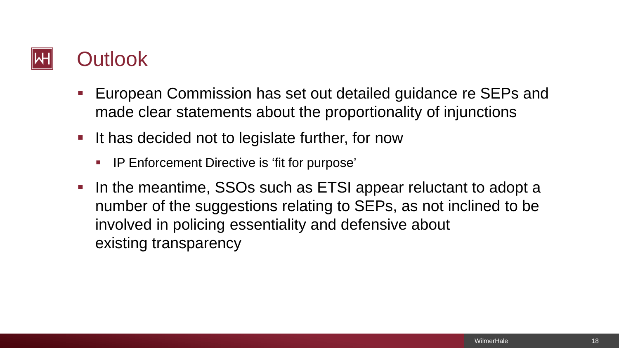

- European Commission has set out detailed guidance re SEPs and made clear statements about the proportionality of injunctions
- If has decided not to legislate further, for now
	- **IP Enforcement Directive is 'fit for purpose'**
- In the meantime, SSOs such as ETSI appear reluctant to adopt a number of the suggestions relating to SEPs, as not inclined to be involved in policing essentiality and defensive about existing transparency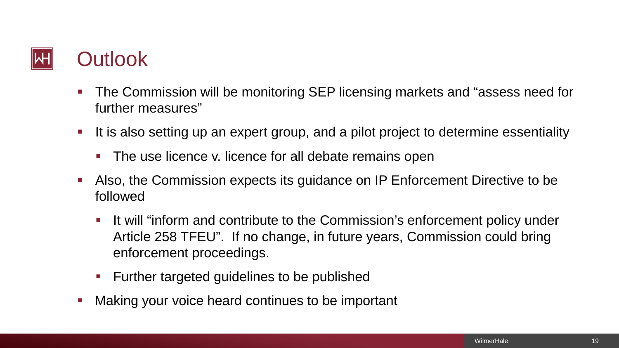### **Outlook**

- The Commission will be monitoring SEP licensing markets and "assess need for further measures"
- It is also setting up an expert group, and a pilot project to determine essentiality
	- The use licence v. licence for all debate remains open
- Also, the Commission expects its guidance on IP Enforcement Directive to be followed
	- It will "inform and contribute to the Commission's enforcement policy under Article 258 TFEU". If no change, in future years, Commission could bring enforcement proceedings.
	- **Further targeted guidelines to be published**
- **Naking your voice heard continues to be important**